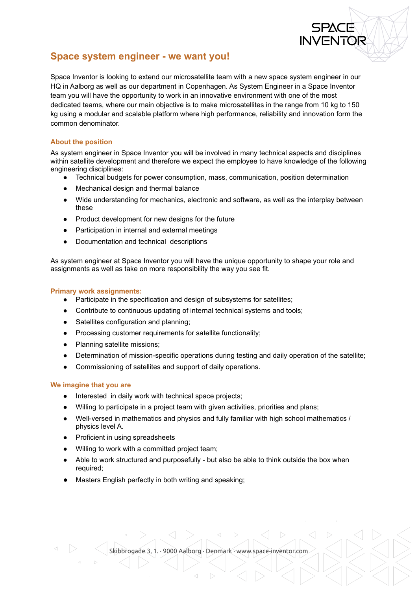

# **Space system engineer - we want you!**

Space Inventor is looking to extend our microsatellite team with a new space system engineer in our HQ in Aalborg as well as our department in Copenhagen. As System Engineer in a Space Inventor team you will have the opportunity to work in an innovative environment with one of the most dedicated teams, where our main objective is to make microsatellites in the range from 10 kg to 150 kg using a modular and scalable platform where high performance, reliability and innovation form the common denominator.

# **About the position**

As system engineer in Space Inventor you will be involved in many technical aspects and disciplines within satellite development and therefore we expect the employee to have knowledge of the following engineering disciplines:

- Technical budgets for power consumption, mass, communication, position determination
- Mechanical design and thermal balance
- Wide understanding for mechanics, electronic and software, as well as the interplay between these
- Product development for new designs for the future
- Participation in internal and external meetings
- Documentation and technical descriptions

As system engineer at Space Inventor you will have the unique opportunity to shape your role and assignments as well as take on more responsibility the way you see fit.

## **Primary work assignments:**

- Participate in the specification and design of subsystems for satellites;
- Contribute to continuous updating of internal technical systems and tools;
- Satellites configuration and planning:
- Processing customer requirements for satellite functionality;
- Planning satellite missions;
- Determination of mission-specific operations during testing and daily operation of the satellite;
- Commissioning of satellites and support of daily operations.

#### **We imagine that you are**

- Interested in daily work with technical space projects;
- Willing to participate in a project team with given activities, priorities and plans;
- Well-versed in mathematics and physics and fully familiar with high school mathematics / physics level A.
- Proficient in using spreadsheets
- Willing to work with a committed project team;
- Able to work structured and purposefully but also be able to think outside the box when required;
- Masters English perfectly in both writing and speaking;